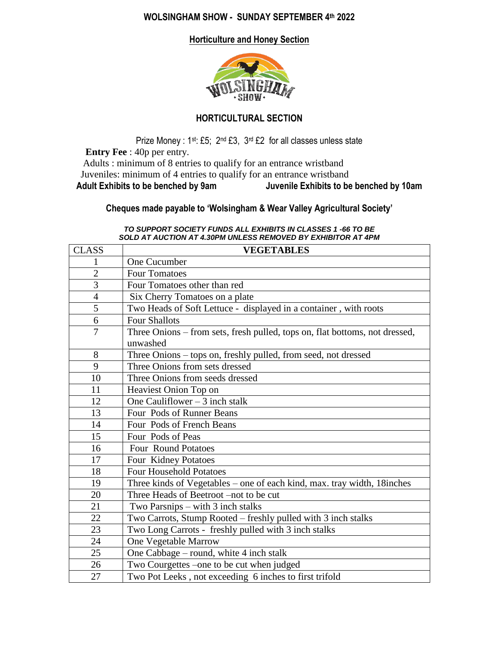### **WOLSINGHAM SHOW - SUNDAY SEPTEMBER 4th 2022**

**Horticulture and Honey Section** 



### **HORTICULTURAL SECTION**

Prize Money : 1st: £5; 2nd £3, 3rd £2 for all classes unless state **Entry Fee** : 40p per entry. Adults : minimum of 8 entries to qualify for an entrance wristband Juveniles: minimum of 4 entries to qualify for an entrance wristband<br>Adult Exhibits to be benched by 9am Juvenile Exhibits to be **Adult Exhibits to be benched by 9am Juvenile Exhibits to be benched by 10am**

## **Cheques made payable to 'Wolsingham & Wear Valley Agricultural Society'**

| SOLD AT AUCTION AT 4.30PM UNLESS REMOVED BY EXHIBITOR AT 4PM |                                                                                         |  |  |  |
|--------------------------------------------------------------|-----------------------------------------------------------------------------------------|--|--|--|
| <b>CLASS</b>                                                 | <b>VEGETABLES</b>                                                                       |  |  |  |
| 1                                                            | One Cucumber                                                                            |  |  |  |
| $\overline{2}$                                               | <b>Four Tomatoes</b>                                                                    |  |  |  |
| 3                                                            | Four Tomatoes other than red                                                            |  |  |  |
| $\overline{4}$                                               | Six Cherry Tomatoes on a plate                                                          |  |  |  |
| $\overline{5}$                                               | Two Heads of Soft Lettuce - displayed in a container, with roots                        |  |  |  |
| 6                                                            | <b>Four Shallots</b>                                                                    |  |  |  |
| $\overline{7}$                                               | Three Onions – from sets, fresh pulled, tops on, flat bottoms, not dressed,<br>unwashed |  |  |  |
| 8                                                            | Three Onions - tops on, freshly pulled, from seed, not dressed                          |  |  |  |
| 9                                                            | Three Onions from sets dressed                                                          |  |  |  |
| 10                                                           | Three Onions from seeds dressed                                                         |  |  |  |
| 11                                                           | Heaviest Onion Top on                                                                   |  |  |  |
| 12                                                           | One Cauliflower $-3$ inch stalk                                                         |  |  |  |
| 13                                                           | Four Pods of Runner Beans                                                               |  |  |  |
| 14                                                           | Four Pods of French Beans                                                               |  |  |  |
| 15                                                           | Four Pods of Peas                                                                       |  |  |  |
| 16                                                           | <b>Four Round Potatoes</b>                                                              |  |  |  |
| 17                                                           | Four Kidney Potatoes                                                                    |  |  |  |
| 18                                                           | <b>Four Household Potatoes</b>                                                          |  |  |  |
| 19                                                           | Three kinds of Vegetables - one of each kind, max. tray width, 18inches                 |  |  |  |
| 20                                                           | Three Heads of Beetroot –not to be cut                                                  |  |  |  |
| 21                                                           | Two Parsnips $-$ with 3 inch stalks                                                     |  |  |  |
| 22                                                           | Two Carrots, Stump Rooted – freshly pulled with 3 inch stalks                           |  |  |  |
| 23                                                           | Two Long Carrots - freshly pulled with 3 inch stalks                                    |  |  |  |
| 24                                                           | One Vegetable Marrow                                                                    |  |  |  |
| 25                                                           | One Cabbage - round, white 4 inch stalk                                                 |  |  |  |
| 26                                                           | Two Courgettes –one to be cut when judged                                               |  |  |  |
| 27                                                           | Two Pot Leeks, not exceeding 6 inches to first trifold                                  |  |  |  |

#### *TO SUPPORT SOCIETY FUNDS ALL EXHIBITS IN CLASSES 1 -66 TO BE SOLD AT AUCTION AT 4.30PM UNLESS REMOVED BY EXHIBITOR AT 4PM*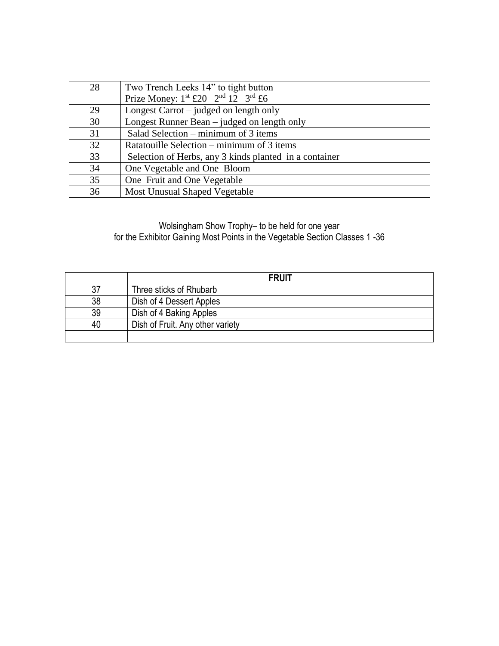| 28 | Two Trench Leeks 14" to tight button                     |
|----|----------------------------------------------------------|
|    | Prize Money: $1^{st}$ £20 $2^{nd}$ $12^{rd}$ $3^{rd}$ £6 |
| 29 | Longest Carrot – judged on length only                   |
| 30 | Longest Runner Bean – judged on length only              |
| 31 | Salad Selection – minimum of 3 items                     |
| 32 | Ratatouille Selection – minimum of 3 items               |
| 33 | Selection of Herbs, any 3 kinds planted in a container   |
| 34 | One Vegetable and One Bloom                              |
| 35 | One Fruit and One Vegetable                              |
| 36 | Most Unusual Shaped Vegetable                            |

### Wolsingham Show Trophy– to be held for one year for the Exhibitor Gaining Most Points in the Vegetable Section Classes 1 -36

|    | <b>FRUIT</b>                     |  |
|----|----------------------------------|--|
| 37 | Three sticks of Rhubarb          |  |
| 38 | Dish of 4 Dessert Apples         |  |
| 39 | Dish of 4 Baking Apples          |  |
| 40 | Dish of Fruit. Any other variety |  |
|    |                                  |  |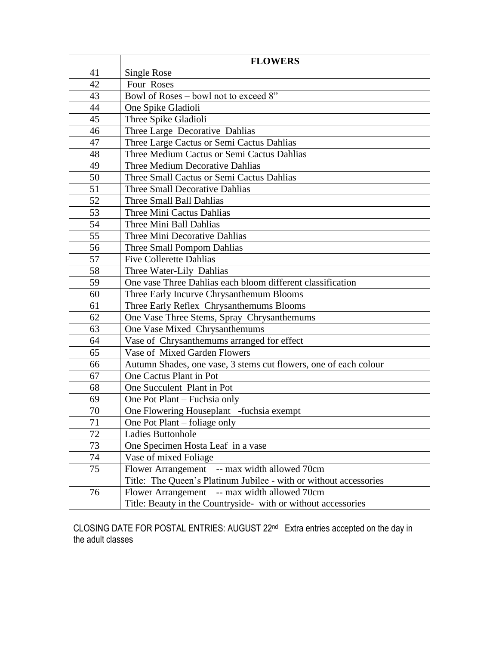|    | <b>FLOWERS</b>                                                    |  |  |
|----|-------------------------------------------------------------------|--|--|
| 41 | Single Rose                                                       |  |  |
| 42 | Four Roses                                                        |  |  |
| 43 | Bowl of Roses - bowl not to exceed 8"                             |  |  |
| 44 | One Spike Gladioli                                                |  |  |
| 45 | Three Spike Gladioli                                              |  |  |
| 46 | Three Large Decorative Dahlias                                    |  |  |
| 47 | Three Large Cactus or Semi Cactus Dahlias                         |  |  |
| 48 | Three Medium Cactus or Semi Cactus Dahlias                        |  |  |
| 49 | Three Medium Decorative Dahlias                                   |  |  |
| 50 | Three Small Cactus or Semi Cactus Dahlias                         |  |  |
| 51 | <b>Three Small Decorative Dahlias</b>                             |  |  |
| 52 | Three Small Ball Dahlias                                          |  |  |
| 53 | Three Mini Cactus Dahlias                                         |  |  |
| 54 | Three Mini Ball Dahlias                                           |  |  |
| 55 | Three Mini Decorative Dahlias                                     |  |  |
| 56 | Three Small Pompom Dahlias                                        |  |  |
| 57 | <b>Five Collerette Dahlias</b>                                    |  |  |
| 58 | Three Water-Lily Dahlias                                          |  |  |
| 59 | One vase Three Dahlias each bloom different classification        |  |  |
| 60 | Three Early Incurve Chrysanthemum Blooms                          |  |  |
| 61 | Three Early Reflex Chrysanthemums Blooms                          |  |  |
| 62 | One Vase Three Stems, Spray Chrysanthemums                        |  |  |
| 63 | One Vase Mixed Chrysanthemums                                     |  |  |
| 64 | Vase of Chrysanthemums arranged for effect                        |  |  |
| 65 | Vase of Mixed Garden Flowers                                      |  |  |
| 66 | Autumn Shades, one vase, 3 stems cut flowers, one of each colour  |  |  |
| 67 | One Cactus Plant in Pot                                           |  |  |
| 68 | One Succulent Plant in Pot                                        |  |  |
| 69 | One Pot Plant – Fuchsia only                                      |  |  |
| 70 | One Flowering Houseplant -fuchsia exempt                          |  |  |
| 71 | One Pot Plant – foliage only                                      |  |  |
| 72 | Ladies Buttonhole                                                 |  |  |
| 73 | One Specimen Hosta Leaf in a vase                                 |  |  |
| 74 | Vase of mixed Foliage                                             |  |  |
| 75 | Flower Arrangement -- max width allowed 70cm                      |  |  |
|    | Title: The Queen's Platinum Jubilee - with or without accessories |  |  |
| 76 | Flower Arrangement -- max width allowed 70cm                      |  |  |
|    | Title: Beauty in the Countryside- with or without accessories     |  |  |

CLOSING DATE FOR POSTAL ENTRIES: AUGUST 22<sup>nd</sup> Extra entries accepted on the day in the adult classes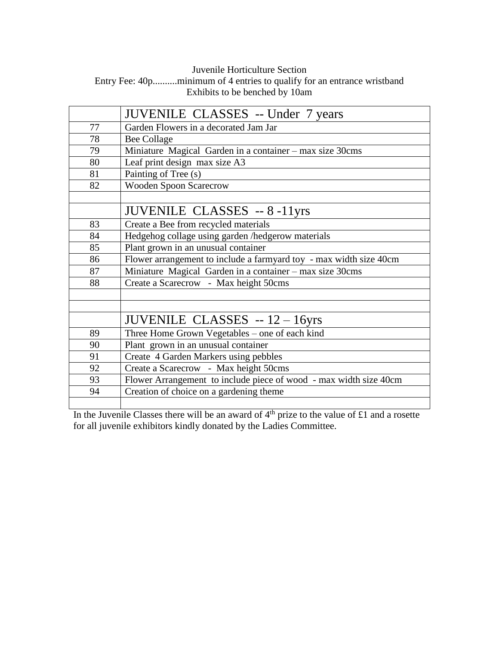## Juvenile Horticulture Section Entry Fee: 40p..........minimum of 4 entries to qualify for an entrance wristband Exhibits to be benched by 10am

|    | <b>JUVENILE CLASSES</b> -- Under 7 years                           |  |  |
|----|--------------------------------------------------------------------|--|--|
| 77 | Garden Flowers in a decorated Jam Jar                              |  |  |
| 78 | <b>Bee Collage</b>                                                 |  |  |
| 79 | Miniature Magical Garden in a container - max size 30cms           |  |  |
| 80 | Leaf print design max size A3                                      |  |  |
| 81 | Painting of Tree (s)                                               |  |  |
| 82 | <b>Wooden Spoon Scarecrow</b>                                      |  |  |
|    |                                                                    |  |  |
|    | <b>JUVENILE CLASSES</b> -- 8 -11yrs                                |  |  |
| 83 | Create a Bee from recycled materials                               |  |  |
| 84 | Hedgehog collage using garden /hedgerow materials                  |  |  |
| 85 | Plant grown in an unusual container                                |  |  |
| 86 | Flower arrangement to include a farmyard toy - max width size 40cm |  |  |
| 87 | Miniature Magical Garden in a container - max size 30cms           |  |  |
| 88 | Create a Scarecrow - Max height 50cms                              |  |  |
|    |                                                                    |  |  |
|    |                                                                    |  |  |
|    | JUVENILE CLASSES $-12-16yrs$                                       |  |  |
| 89 | Three Home Grown Vegetables - one of each kind                     |  |  |
| 90 | Plant grown in an unusual container                                |  |  |
| 91 | Create 4 Garden Markers using pebbles                              |  |  |
| 92 | Create a Scarecrow - Max height 50cms                              |  |  |
| 93 | Flower Arrangement to include piece of wood - max width size 40cm  |  |  |
| 94 | Creation of choice on a gardening theme                            |  |  |
|    |                                                                    |  |  |

In the Juvenile Classes there will be an award of  $4<sup>th</sup>$  prize to the value of £1 and a rosette for all juvenile exhibitors kindly donated by the Ladies Committee.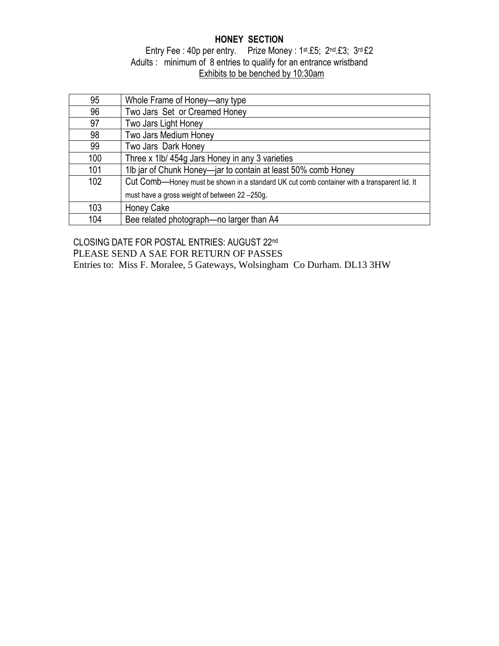# **HONEY SECTION**

## Entry Fee : 40p per entry. Prize Money : 1st.£5; 2nd.£3; 3rd £2 Adults : minimum of 8 entries to qualify for an entrance wristband Exhibits to be benched by 10:30am

| 95  | Whole Frame of Honey—any type                                                               |
|-----|---------------------------------------------------------------------------------------------|
| 96  | Two Jars Set or Creamed Honey                                                               |
| 97  | Two Jars Light Honey                                                                        |
| 98  | Two Jars Medium Honey                                                                       |
| 99  | Two Jars Dark Honey                                                                         |
| 100 | Three x 1lb/ 454g Jars Honey in any 3 varieties                                             |
| 101 | 1lb jar of Chunk Honey-jar to contain at least 50% comb Honey                               |
| 102 | Cut Comb—Honey must be shown in a standard UK cut comb container with a transparent lid. It |
|     | must have a gross weight of between 22 -250g.                                               |
| 103 | <b>Honey Cake</b>                                                                           |
| 104 | Bee related photograph-no larger than A4                                                    |

CLOSING DATE FOR POSTAL ENTRIES: AUGUST 22nd PLEASE SEND A SAE FOR RETURN OF PASSES Entries to: Miss F. Moralee, 5 Gateways, Wolsingham Co Durham. DL13 3HW